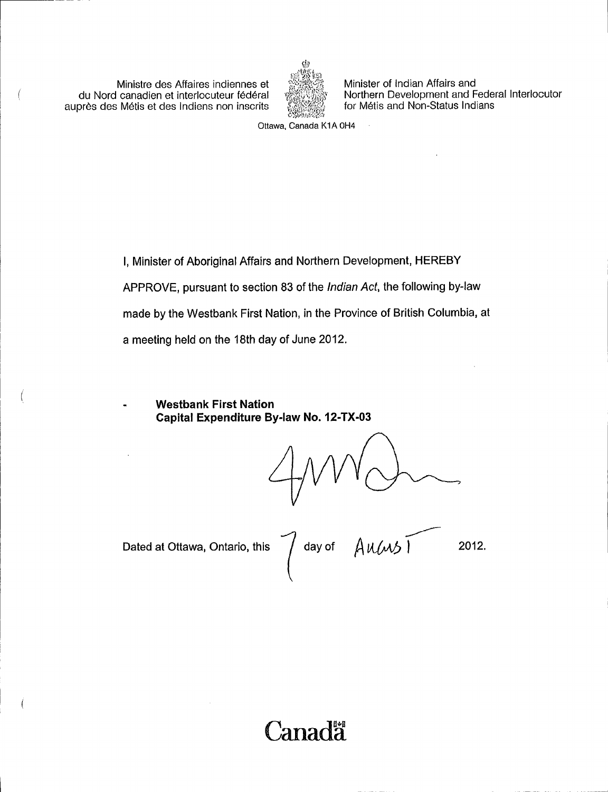Ministre des Affaires indiennes et du Nord canadien et interlocuteur federal aupres des Metis et des Indiens non inscrits

Í



Minister of Indian Affairs and Northern Development and Federal Interlocutor for Métis and Non-Status Indians

Ottawa, Canada K1A 0H4

I, Minister of Aboriginal Affairs and Northern Development, HEREBY APPROVE, pursuant to section 83 of the Indian Act, the following by-law made by the Westbank First Nation, in the Province of British Columbia, at a meeting held on the 18th day of June 2012.

Westbank First Nation Capital Expenditure By-law No. 12-TX-03

Dated at Ottawa, Ontario, this  $\bigcap$  day of  $\bigwedge \mathcal{U}(\mathcal{M})$  2012.

Canada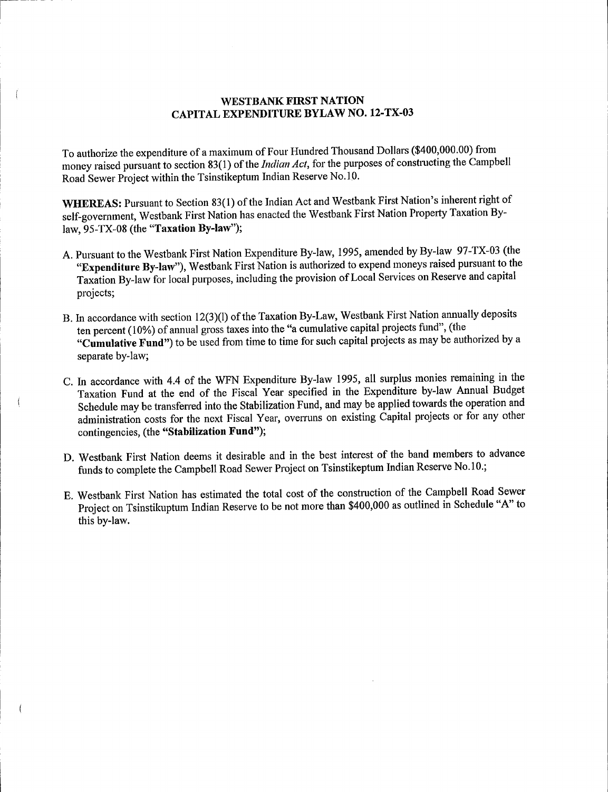### WESTBANK FIRST NATION CAPITAL EXPENDITURE BYLAW NO. 12 -TX -03

To authorize the expenditure of <sup>a</sup> maximum of Four Hundred Thousand Dollars (\$400,000. 00) from money raised pursuant to section 83(1) of the Indian Act, for the purposes of constructing the Campbell Road Sewer Project within the Tsinstikeptum Indian Reserve No. 10.

WHEREAS: Pursuant to Section 83(1) of the Indian Act and Westbank First Nation's inherent right of self-government, Westbank First Nation has enacted the Westbank First Nation Property Taxation Bylaw,  $95-TX-08$  (the "Taxation By-law");

- A. Pursuant to the Westbank First Nation Expenditure By -law, 1995, amended by By -law 97 -TX -03 ( the "Expenditure By-law"), Westbank First Nation is authorized to expend moneys raised pursuant to the Taxation By -law for local purposes, including the provision of Local Services on Reserve and capital projects;
- B. In accordance with section 12(3)(1) of the Taxation By-Law, Westbank First Nation annually deposits ten percent (10%) of annual gross taxes into the "a cumulative capital projects fund", (the "Cumulative Fund") to be used from time to time for such capital projects as may be authorized by a separate by-law;
- C. In accordance with 4.4 of the WFN Expenditure By -law 1995, all surplus monies remaining in the Taxation Fund at the end of the Fiscal Year specified in the Expenditure by -law Annual Budget Schedule may be transferred into the Stabilization Fund, and may be applied towards the operation and administration costs for the next Fiscal Year, overruns on existing Capital projects or for any other contingencies, (the "Stabilization Fund");
- D. Westbank First Nation deems it desirable and in the best interest of the band members to advance funds to complete the Campbell Road Sewer Project on Tsinstikeptum Indian Reserve No. 10.;
- E. Westbank First Nation has estimated the total cost of the construction of the Campbell Road Sewer Project on Tsinstikuptum Indian Reserve to be not more than \$400,000 as outlined in Schedule "A" to this by-law.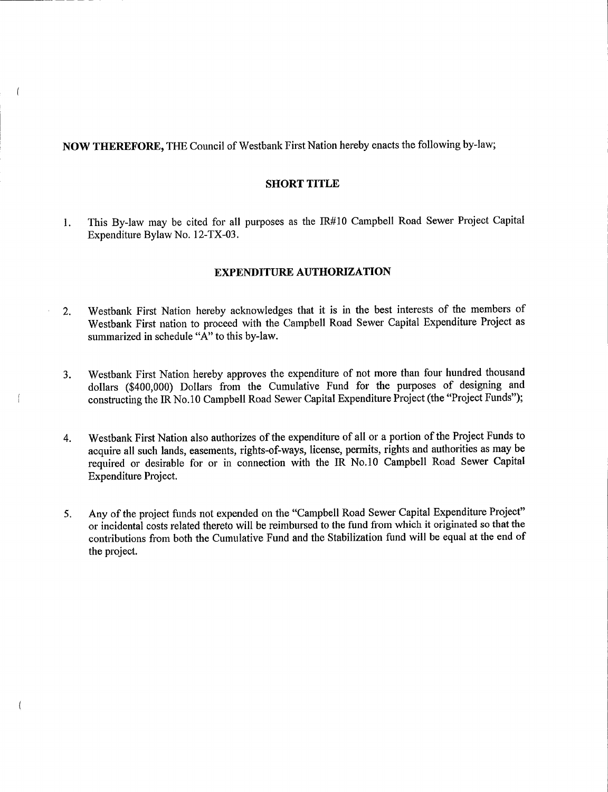NOW THEREFORE, THE Council of Westbank First Nation hereby enacts the following by -law;

#### SHORT TITLE

1. This By-law may be cited for all purposes as the IR#10 Campbell Road Sewer Project Capital Expenditure Bylaw No. 12-TX-03.

### EXPENDITURE AUTHORIZATION

- 2. Westbank First Nation hereby acknowledges that it is in the best interests of the members of Westbank First nation to proceed with the Campbell Road Sewer Capital Expenditure Project as summarized in schedule "A" to this by-law.
- 3. Westbank First Nation hereby approves the expenditure of not more than four hundred thousand dollars (\$400,000) Dollars from the Cumulative Fund for the purposes of designing and constructing the IR No.10 Campbell Road Sewer Capital Expenditure Project (the "Project Funds");

 $\overline{1}$ 

 $\left($ 

- 4. Westbank First Nation also authorizes of the expenditure of all or <sup>a</sup> portion of the Project Funds to acquire all such lands, easements, rights -of -ways, license, permits, rights and authorities as may be required or desirable for or in connection with the IR No. 10 Campbell Road Sewer Capital Expenditure Project.
- 5. Any of the project funds not expended on the "Campbell Road Sewer Capital Expenditure Project" or incidental costs related thereto will be reimbursed to the fund from which it originated so that the contributions from both the Cumulative Fund and the Stabilization fund will be equal at the end of the project.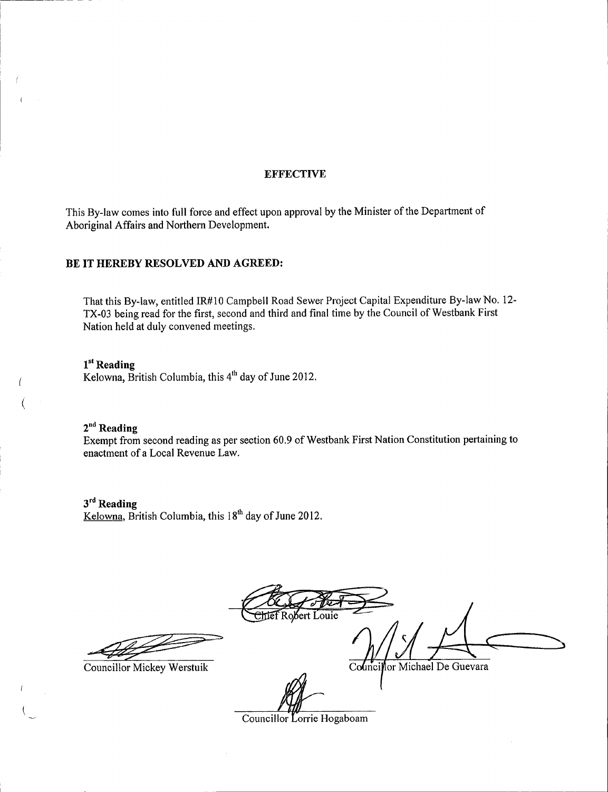### **EFFECTIVE**

This By -law comes into full force and effect upon approval by the Minister of the Department of Aboriginal Affairs and Northern Development.

### BE IT HEREBY RESOLVED AND AGREED:

That this By-law, entitled IR#10 Campbell Road Sewer Project Capital Expenditure By-law No. 12-TX-03 being read for the first, second and third and final time by the Council of Westbank First Nation held at duly convened meetings.

## 1<sup>st</sup> Reading

i

i

 $K$ elowna, British Columbia, this  $4<sup>th</sup>$  day of June 2012.

## $2<sup>nd</sup>$  Reading

Exempt from second reading as per section 60.9 of Westbank First Nation Constitution pertaining to enactment of <sup>a</sup> Local Revenue Law.

 $3<sup>rd</sup>$  Reading  $Kelowna$ , British Columbia, this  $18<sup>th</sup>$  day of June 2012.

Robert Louie

Councillor Mickey Werstuik **2008** Councillor Michael De Guevara

Councillor Lorrie Hogaboam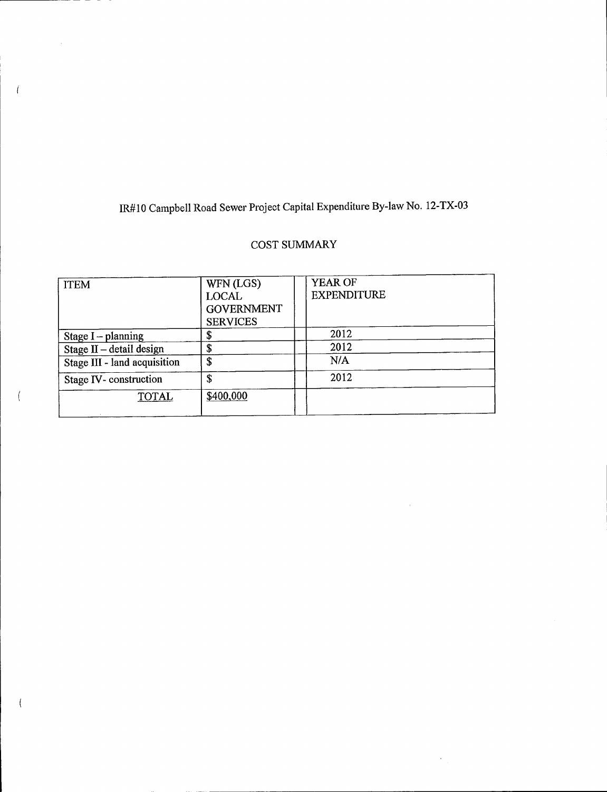## 1R #10 Campbell Road Sewer Project Capital Expenditure By -law No. 12 -TX -03

 $\overline{1}$ 

 $\overline{(\cdot)}$ 

 $\overline{ }$ 

## COST SUMMARY

| <b>ITEM</b>                  | WFN (LGS)<br><b>LOCAL</b><br><b>GOVERNMENT</b><br><b>SERVICES</b> | <b>YEAR OF</b><br><b>EXPENDITURE</b> |  |
|------------------------------|-------------------------------------------------------------------|--------------------------------------|--|
| Stage $I$ – planning         | \$                                                                | 2012                                 |  |
| Stage II - detail design     | \$                                                                | 2012                                 |  |
| Stage III - land acquisition | \$                                                                | N/A                                  |  |
| Stage IV-construction        | \$                                                                | 2012                                 |  |
| <b>TOTAL</b>                 | \$400,000                                                         |                                      |  |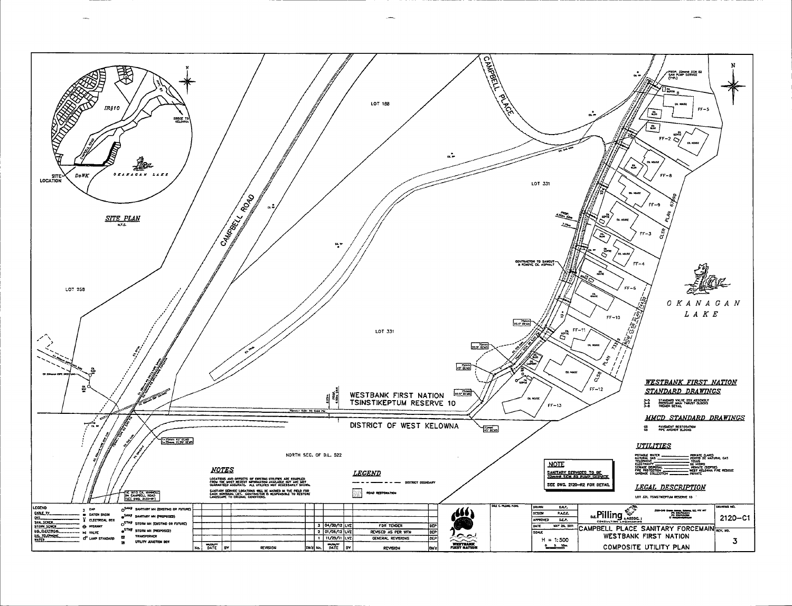